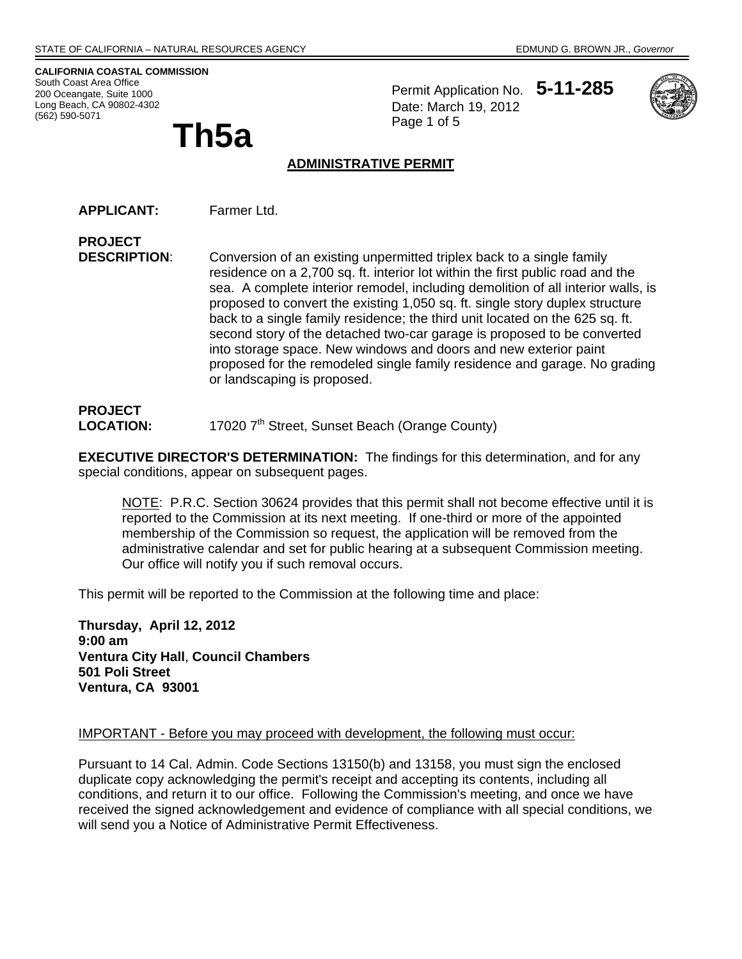**CALIFORNIA COASTAL COMMISSION**  South Coast Area Office 200 Oceangate, Suite 1000 Long Beach, CA 90802-4302 (562) 590-5071

**Th5a** 

Permit Application No. **5-11-285** Date: March 19, 2012 Page 1 of 5



#### **ADMINISTRATIVE PERMIT**

**APPLICANT:** Farmer Ltd.

**PROJECT DESCRIPTION**: Conversion of an existing unpermitted triplex back to a single family residence on a 2,700 sq. ft. interior lot within the first public road and the sea. A complete interior remodel, including demolition of all interior walls, is proposed to convert the existing 1,050 sq. ft. single story duplex structure back to a single family residence; the third unit located on the 625 sq. ft. second story of the detached two-car garage is proposed to be converted into storage space. New windows and doors and new exterior paint proposed for the remodeled single family residence and garage. No grading or landscaping is proposed.

## **PROJECT LOCATION:** 17020 7<sup>th</sup> Street, Sunset Beach (Orange County)

**EXECUTIVE DIRECTOR'S DETERMINATION:** The findings for this determination, and for any special conditions, appear on subsequent pages.

NOTE: P.R.C. Section 30624 provides that this permit shall not become effective until it is reported to the Commission at its next meeting. If one-third or more of the appointed membership of the Commission so request, the application will be removed from the administrative calendar and set for public hearing at a subsequent Commission meeting. Our office will notify you if such removal occurs.

This permit will be reported to the Commission at the following time and place:

**Thursday, April 12, 2012 9:00 am Ventura City Hall**, **Council Chambers 501 Poli Street Ventura, CA 93001** 

#### IMPORTANT - Before you may proceed with development, the following must occur:

Pursuant to 14 Cal. Admin. Code Sections 13150(b) and 13158, you must sign the enclosed duplicate copy acknowledging the permit's receipt and accepting its contents, including all conditions, and return it to our office. Following the Commission's meeting, and once we have received the signed acknowledgement and evidence of compliance with all special conditions, we will send you a Notice of Administrative Permit Effectiveness.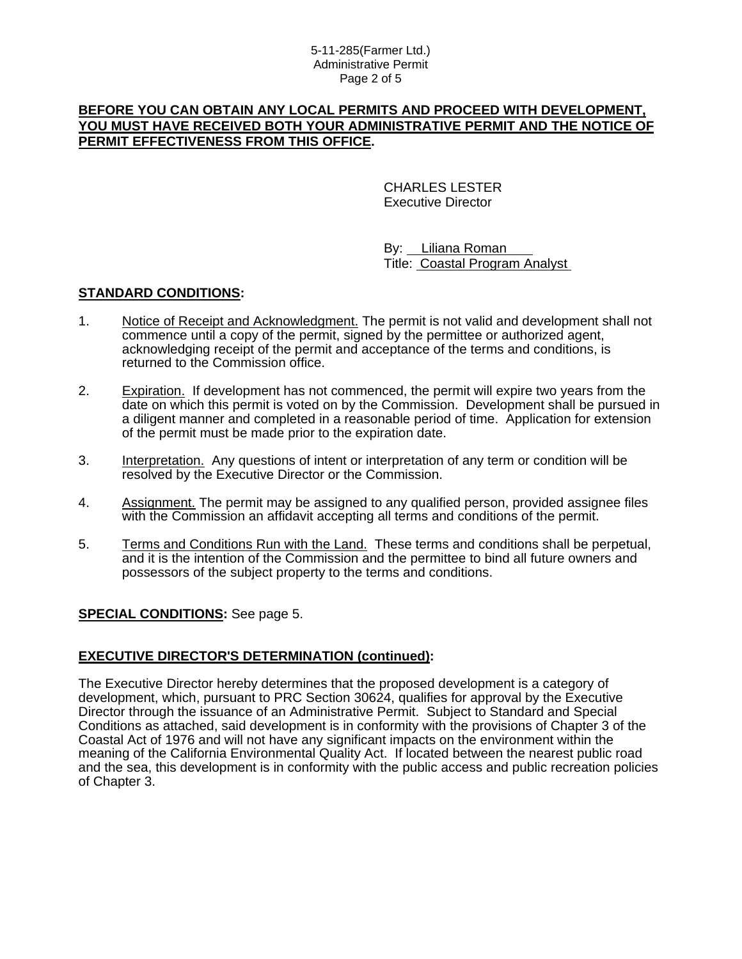#### 5-11-285(Farmer Ltd.) Administrative Permit Page 2 of 5

#### **BEFORE YOU CAN OBTAIN ANY LOCAL PERMITS AND PROCEED WITH DEVELOPMENT, YOU MUST HAVE RECEIVED BOTH YOUR ADMINISTRATIVE PERMIT AND THE NOTICE OF PERMIT EFFECTIVENESS FROM THIS OFFICE.**

 CHARLES LESTER Executive Director

 By: Liliana Roman Title: Coastal Program Analyst

### **STANDARD CONDITIONS:**

- 1. Notice of Receipt and Acknowledgment. The permit is not valid and development shall not commence until a copy of the permit, signed by the permittee or authorized agent, acknowledging receipt of the permit and acceptance of the terms and conditions, is returned to the Commission office.
- 2. Expiration. If development has not commenced, the permit will expire two years from the date on which this permit is voted on by the Commission. Development shall be pursued in a diligent manner and completed in a reasonable period of time. Application for extension of the permit must be made prior to the expiration date.
- 3. Interpretation. Any questions of intent or interpretation of any term or condition will be resolved by the Executive Director or the Commission.
- 4. Assignment. The permit may be assigned to any qualified person, provided assignee files with the Commission an affidavit accepting all terms and conditions of the permit.
- 5. Terms and Conditions Run with the Land. These terms and conditions shall be perpetual, and it is the intention of the Commission and the permittee to bind all future owners and possessors of the subject property to the terms and conditions.

### **SPECIAL CONDITIONS:** See page 5.

### **EXECUTIVE DIRECTOR'S DETERMINATION (continued):**

The Executive Director hereby determines that the proposed development is a category of development, which, pursuant to PRC Section 30624, qualifies for approval by the Executive Director through the issuance of an Administrative Permit. Subject to Standard and Special Conditions as attached, said development is in conformity with the provisions of Chapter 3 of the Coastal Act of 1976 and will not have any significant impacts on the environment within the meaning of the California Environmental Quality Act. If located between the nearest public road and the sea, this development is in conformity with the public access and public recreation policies of Chapter 3.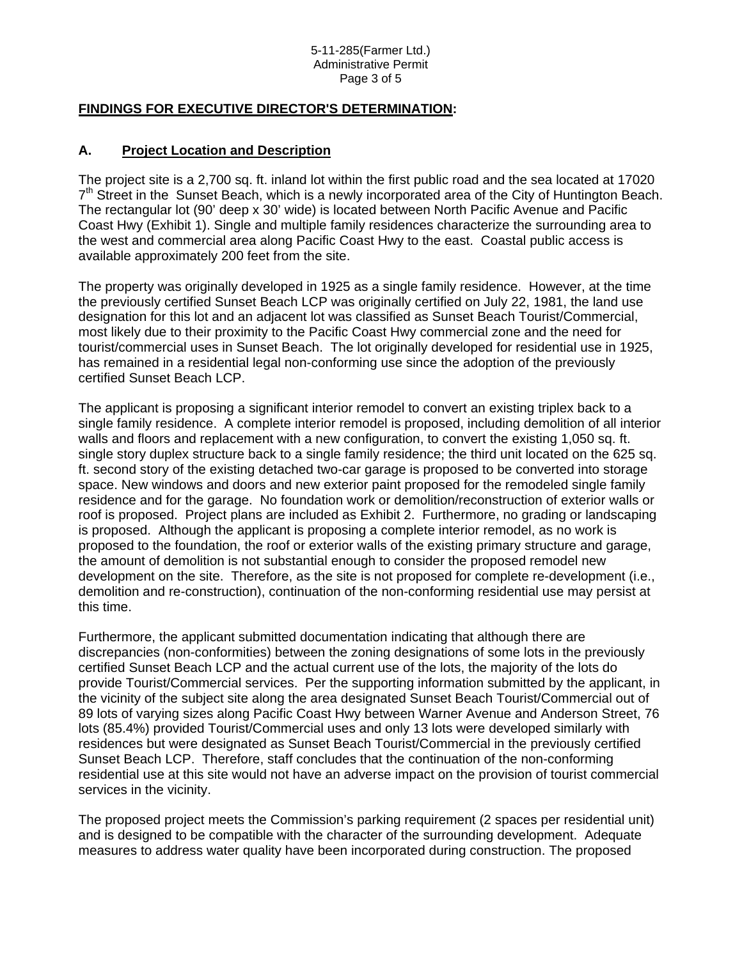#### 5-11-285(Farmer Ltd.) Administrative Permit Page 3 of 5

## **FINDINGS FOR EXECUTIVE DIRECTOR'S DETERMINATION:**

### **A. Project Location and Description**

The project site is a 2,700 sq. ft. inland lot within the first public road and the sea located at 17020  $7<sup>th</sup>$  Street in the Sunset Beach, which is a newly incorporated area of the City of Huntington Beach. The rectangular lot (90' deep x 30' wide) is located between North Pacific Avenue and Pacific Coast Hwy (Exhibit 1). Single and multiple family residences characterize the surrounding area to the west and commercial area along Pacific Coast Hwy to the east. Coastal public access is available approximately 200 feet from the site.

The property was originally developed in 1925 as a single family residence. However, at the time the previously certified Sunset Beach LCP was originally certified on July 22, 1981, the land use designation for this lot and an adjacent lot was classified as Sunset Beach Tourist/Commercial, most likely due to their proximity to the Pacific Coast Hwy commercial zone and the need for tourist/commercial uses in Sunset Beach. The lot originally developed for residential use in 1925, has remained in a residential legal non-conforming use since the adoption of the previously certified Sunset Beach LCP.

The applicant is proposing a significant interior remodel to convert an existing triplex back to a single family residence. A complete interior remodel is proposed, including demolition of all interior walls and floors and replacement with a new configuration, to convert the existing 1,050 sq. ft. single story duplex structure back to a single family residence; the third unit located on the 625 sq. ft. second story of the existing detached two-car garage is proposed to be converted into storage space. New windows and doors and new exterior paint proposed for the remodeled single family residence and for the garage. No foundation work or demolition/reconstruction of exterior walls or roof is proposed. Project plans are included as Exhibit 2. Furthermore, no grading or landscaping is proposed. Although the applicant is proposing a complete interior remodel, as no work is proposed to the foundation, the roof or exterior walls of the existing primary structure and garage, the amount of demolition is not substantial enough to consider the proposed remodel new development on the site. Therefore, as the site is not proposed for complete re-development (i.e., demolition and re-construction), continuation of the non-conforming residential use may persist at this time.

Furthermore, the applicant submitted documentation indicating that although there are discrepancies (non-conformities) between the zoning designations of some lots in the previously certified Sunset Beach LCP and the actual current use of the lots, the majority of the lots do provide Tourist/Commercial services. Per the supporting information submitted by the applicant, in the vicinity of the subject site along the area designated Sunset Beach Tourist/Commercial out of 89 lots of varying sizes along Pacific Coast Hwy between Warner Avenue and Anderson Street, 76 lots (85.4%) provided Tourist/Commercial uses and only 13 lots were developed similarly with residences but were designated as Sunset Beach Tourist/Commercial in the previously certified Sunset Beach LCP. Therefore, staff concludes that the continuation of the non-conforming residential use at this site would not have an adverse impact on the provision of tourist commercial services in the vicinity.

The proposed project meets the Commission's parking requirement (2 spaces per residential unit) and is designed to be compatible with the character of the surrounding development. Adequate measures to address water quality have been incorporated during construction. The proposed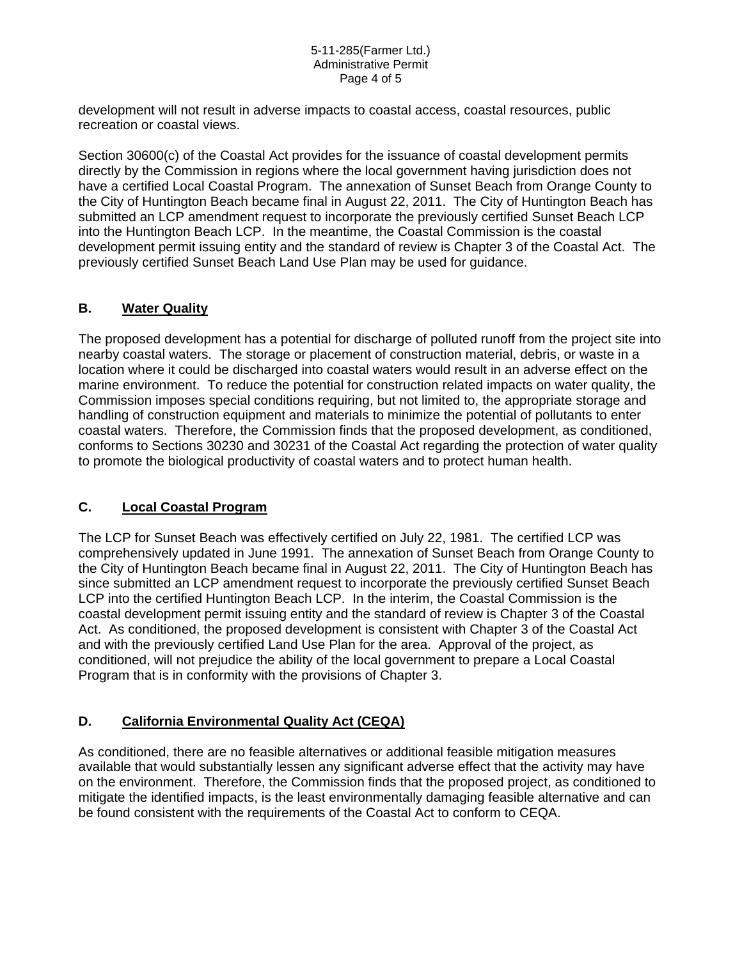#### 5-11-285(Farmer Ltd.) Administrative Permit Page 4 of 5

development will not result in adverse impacts to coastal access, coastal resources, public recreation or coastal views.

Section 30600(c) of the Coastal Act provides for the issuance of coastal development permits directly by the Commission in regions where the local government having jurisdiction does not have a certified Local Coastal Program. The annexation of Sunset Beach from Orange County to the City of Huntington Beach became final in August 22, 2011. The City of Huntington Beach has submitted an LCP amendment request to incorporate the previously certified Sunset Beach LCP into the Huntington Beach LCP. In the meantime, the Coastal Commission is the coastal development permit issuing entity and the standard of review is Chapter 3 of the Coastal Act. The previously certified Sunset Beach Land Use Plan may be used for guidance.

## **B. Water Quality**

The proposed development has a potential for discharge of polluted runoff from the project site into nearby coastal waters. The storage or placement of construction material, debris, or waste in a location where it could be discharged into coastal waters would result in an adverse effect on the marine environment. To reduce the potential for construction related impacts on water quality, the Commission imposes special conditions requiring, but not limited to, the appropriate storage and handling of construction equipment and materials to minimize the potential of pollutants to enter coastal waters. Therefore, the Commission finds that the proposed development, as conditioned, conforms to Sections 30230 and 30231 of the Coastal Act regarding the protection of water quality to promote the biological productivity of coastal waters and to protect human health.

### **C. Local Coastal Program**

The LCP for Sunset Beach was effectively certified on July 22, 1981. The certified LCP was comprehensively updated in June 1991. The annexation of Sunset Beach from Orange County to the City of Huntington Beach became final in August 22, 2011. The City of Huntington Beach has since submitted an LCP amendment request to incorporate the previously certified Sunset Beach LCP into the certified Huntington Beach LCP. In the interim, the Coastal Commission is the coastal development permit issuing entity and the standard of review is Chapter 3 of the Coastal Act. As conditioned, the proposed development is consistent with Chapter 3 of the Coastal Act and with the previously certified Land Use Plan for the area. Approval of the project, as conditioned, will not prejudice the ability of the local government to prepare a Local Coastal Program that is in conformity with the provisions of Chapter 3.

### **D. California Environmental Quality Act (CEQA)**

As conditioned, there are no feasible alternatives or additional feasible mitigation measures available that would substantially lessen any significant adverse effect that the activity may have on the environment. Therefore, the Commission finds that the proposed project, as conditioned to mitigate the identified impacts, is the least environmentally damaging feasible alternative and can be found consistent with the requirements of the Coastal Act to conform to CEQA.